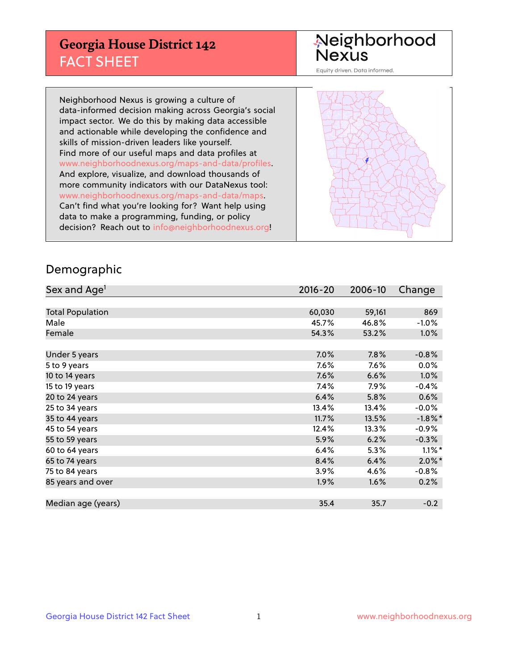## **Georgia House District 142** FACT SHEET

# Neighborhood<br>Nexus

Equity driven. Data informed.

Neighborhood Nexus is growing a culture of data-informed decision making across Georgia's social impact sector. We do this by making data accessible and actionable while developing the confidence and skills of mission-driven leaders like yourself. Find more of our useful maps and data profiles at www.neighborhoodnexus.org/maps-and-data/profiles. And explore, visualize, and download thousands of more community indicators with our DataNexus tool: www.neighborhoodnexus.org/maps-and-data/maps. Can't find what you're looking for? Want help using data to make a programming, funding, or policy decision? Reach out to [info@neighborhoodnexus.org!](mailto:info@neighborhoodnexus.org)



#### Demographic

| Sex and Age <sup>1</sup> | 2016-20 | 2006-10 | Change               |
|--------------------------|---------|---------|----------------------|
|                          |         |         |                      |
| <b>Total Population</b>  | 60,030  | 59,161  | 869                  |
| Male                     | 45.7%   | 46.8%   | $-1.0%$              |
| Female                   | 54.3%   | 53.2%   | $1.0\%$              |
|                          |         |         |                      |
| Under 5 years            | 7.0%    | 7.8%    | $-0.8%$              |
| 5 to 9 years             | 7.6%    | 7.6%    | $0.0\%$              |
| 10 to 14 years           | 7.6%    | 6.6%    | $1.0\%$              |
| 15 to 19 years           | 7.4%    | 7.9%    | $-0.4%$              |
| 20 to 24 years           | 6.4%    | 5.8%    | 0.6%                 |
| 25 to 34 years           | 13.4%   | 13.4%   | $-0.0\%$             |
| 35 to 44 years           | 11.7%   | 13.5%   | $-1.8\%$ *           |
| 45 to 54 years           | 12.4%   | 13.3%   | $-0.9%$              |
| 55 to 59 years           | 5.9%    | 6.2%    | $-0.3%$              |
| 60 to 64 years           | 6.4%    | 5.3%    | $1.1\%$ <sup>*</sup> |
| 65 to 74 years           | 8.4%    | 6.4%    | $2.0\%$ *            |
| 75 to 84 years           | $3.9\%$ | 4.6%    | $-0.8%$              |
| 85 years and over        | 1.9%    | 1.6%    | 0.2%                 |
|                          |         |         |                      |
| Median age (years)       | 35.4    | 35.7    | $-0.2$               |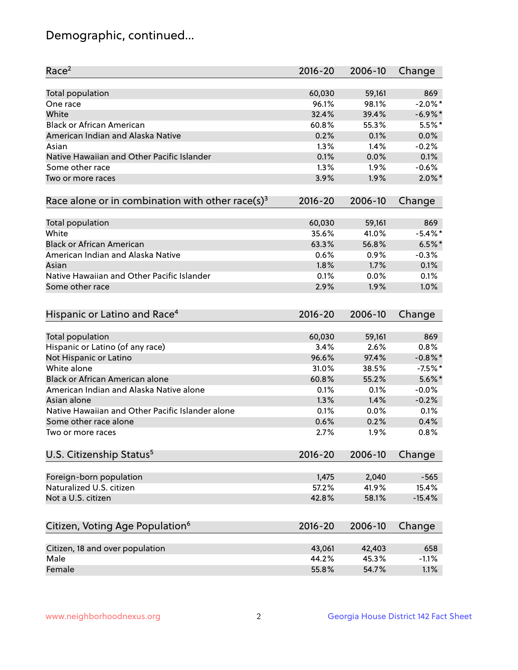## Demographic, continued...

| Race <sup>2</sup>                                            | $2016 - 20$ | 2006-10 | Change     |
|--------------------------------------------------------------|-------------|---------|------------|
| <b>Total population</b>                                      | 60,030      | 59,161  | 869        |
| One race                                                     | 96.1%       | 98.1%   | $-2.0\%$ * |
| White                                                        | 32.4%       | 39.4%   | $-6.9\%$ * |
| <b>Black or African American</b>                             | 60.8%       | 55.3%   | $5.5%$ *   |
| American Indian and Alaska Native                            | 0.2%        | 0.1%    | 0.0%       |
| Asian                                                        | 1.3%        | 1.4%    | $-0.2%$    |
| Native Hawaiian and Other Pacific Islander                   | 0.1%        | 0.0%    | 0.1%       |
| Some other race                                              | 1.3%        | 1.9%    | $-0.6%$    |
| Two or more races                                            | 3.9%        | 1.9%    | $2.0\%$ *  |
| Race alone or in combination with other race(s) <sup>3</sup> | $2016 - 20$ | 2006-10 | Change     |
| Total population                                             | 60,030      | 59,161  | 869        |
| White                                                        | 35.6%       | 41.0%   | $-5.4\%$ * |
| <b>Black or African American</b>                             | 63.3%       | 56.8%   | $6.5%$ *   |
| American Indian and Alaska Native                            | 0.6%        | 0.9%    | $-0.3%$    |
| Asian                                                        | 1.8%        | 1.7%    | 0.1%       |
| Native Hawaiian and Other Pacific Islander                   | 0.1%        | 0.0%    | 0.1%       |
| Some other race                                              | 2.9%        | 1.9%    | 1.0%       |
| Hispanic or Latino and Race <sup>4</sup>                     | $2016 - 20$ | 2006-10 | Change     |
| Total population                                             | 60,030      | 59,161  | 869        |
| Hispanic or Latino (of any race)                             | 3.4%        | 2.6%    | 0.8%       |
| Not Hispanic or Latino                                       | 96.6%       | 97.4%   | $-0.8\%$ * |
| White alone                                                  | 31.0%       | 38.5%   | $-7.5%$ *  |
| Black or African American alone                              | 60.8%       | 55.2%   | $5.6\%$ *  |
| American Indian and Alaska Native alone                      | 0.1%        | 0.1%    | $-0.0%$    |
| Asian alone                                                  | 1.3%        | 1.4%    | $-0.2%$    |
| Native Hawaiian and Other Pacific Islander alone             | 0.1%        | 0.0%    | 0.1%       |
| Some other race alone                                        | 0.6%        | 0.2%    | 0.4%       |
| Two or more races                                            | 2.7%        | 1.9%    | 0.8%       |
| U.S. Citizenship Status <sup>5</sup>                         | $2016 - 20$ | 2006-10 | Change     |
| Foreign-born population                                      | 1,475       | 2,040   | $-565$     |
| Naturalized U.S. citizen                                     | 57.2%       | 41.9%   | 15.4%      |
| Not a U.S. citizen                                           | 42.8%       | 58.1%   | $-15.4%$   |
|                                                              |             |         |            |
| Citizen, Voting Age Population <sup>6</sup>                  | $2016 - 20$ | 2006-10 | Change     |
| Citizen, 18 and over population                              | 43,061      | 42,403  | 658        |
| Male                                                         | 44.2%       | 45.3%   | $-1.1%$    |
| Female                                                       | 55.8%       | 54.7%   | 1.1%       |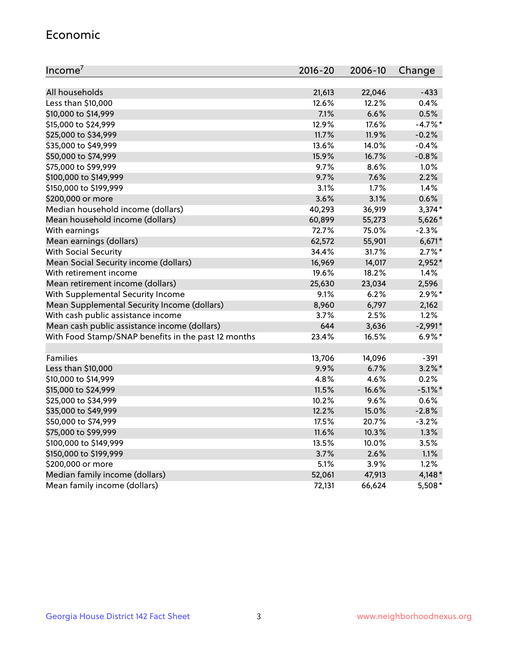#### Economic

| Income <sup>7</sup>                                 | $2016 - 20$ | 2006-10 | Change     |
|-----------------------------------------------------|-------------|---------|------------|
|                                                     |             |         |            |
| All households                                      | 21,613      | 22,046  | $-433$     |
| Less than \$10,000                                  | 12.6%       | 12.2%   | 0.4%       |
| \$10,000 to \$14,999                                | 7.1%        | 6.6%    | 0.5%       |
| \$15,000 to \$24,999                                | 12.9%       | 17.6%   | $-4.7%$ *  |
| \$25,000 to \$34,999                                | 11.7%       | 11.9%   | $-0.2%$    |
| \$35,000 to \$49,999                                | 13.6%       | 14.0%   | $-0.4%$    |
| \$50,000 to \$74,999                                | 15.9%       | 16.7%   | $-0.8%$    |
| \$75,000 to \$99,999                                | 9.7%        | 8.6%    | 1.0%       |
| \$100,000 to \$149,999                              | 9.7%        | 7.6%    | 2.2%       |
| \$150,000 to \$199,999                              | 3.1%        | 1.7%    | 1.4%       |
| \$200,000 or more                                   | 3.6%        | 3.1%    | 0.6%       |
| Median household income (dollars)                   | 40,293      | 36,919  | $3,374*$   |
| Mean household income (dollars)                     | 60,899      | 55,273  | 5,626*     |
| With earnings                                       | 72.7%       | 75.0%   | $-2.3%$    |
| Mean earnings (dollars)                             | 62,572      | 55,901  | $6,671*$   |
| <b>With Social Security</b>                         | 34.4%       | 31.7%   | $2.7\%$ *  |
| Mean Social Security income (dollars)               | 16,969      | 14,017  | 2,952*     |
| With retirement income                              | 19.6%       | 18.2%   | 1.4%       |
| Mean retirement income (dollars)                    | 25,630      | 23,034  | 2,596      |
| With Supplemental Security Income                   | 9.1%        | 6.2%    | $2.9\%*$   |
| Mean Supplemental Security Income (dollars)         | 8,960       | 6,797   | 2,162      |
| With cash public assistance income                  | 3.7%        | 2.5%    | 1.2%       |
| Mean cash public assistance income (dollars)        | 644         | 3,636   | $-2,991*$  |
| With Food Stamp/SNAP benefits in the past 12 months | 23.4%       | 16.5%   | $6.9\%$ *  |
|                                                     |             |         |            |
| Families                                            | 13,706      | 14,096  | $-391$     |
| Less than \$10,000                                  | 9.9%        | 6.7%    | $3.2\%$ *  |
| \$10,000 to \$14,999                                | 4.8%        | 4.6%    | 0.2%       |
| \$15,000 to \$24,999                                | 11.5%       | 16.6%   | $-5.1\%$ * |
| \$25,000 to \$34,999                                | 10.2%       | 9.6%    | 0.6%       |
| \$35,000 to \$49,999                                | 12.2%       | 15.0%   | $-2.8%$    |
| \$50,000 to \$74,999                                | 17.5%       | 20.7%   | $-3.2%$    |
| \$75,000 to \$99,999                                | 11.6%       | 10.3%   | 1.3%       |
| \$100,000 to \$149,999                              | 13.5%       | 10.0%   | 3.5%       |
| \$150,000 to \$199,999                              | 3.7%        | 2.6%    | 1.1%       |
| \$200,000 or more                                   | 5.1%        | 3.9%    | 1.2%       |
| Median family income (dollars)                      | 52,061      | 47,913  | $4,148*$   |
| Mean family income (dollars)                        | 72,131      | 66,624  | 5,508*     |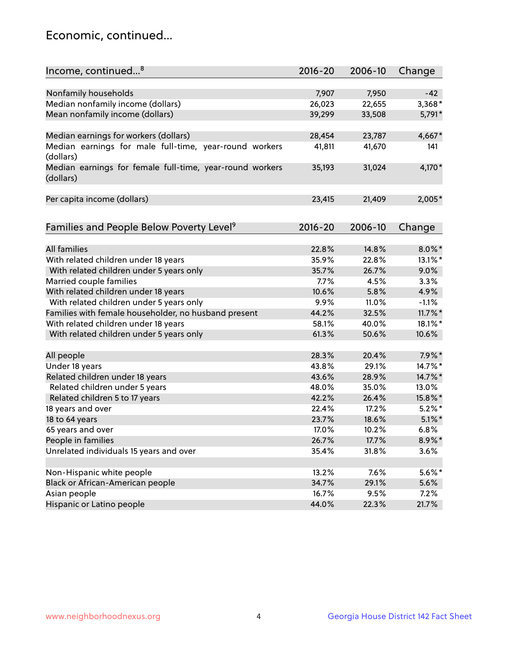## Economic, continued...

| Income, continued <sup>8</sup>                                        | $2016 - 20$ | 2006-10 | Change     |
|-----------------------------------------------------------------------|-------------|---------|------------|
|                                                                       |             |         |            |
| Nonfamily households                                                  | 7,907       | 7,950   | $-42$      |
| Median nonfamily income (dollars)                                     | 26,023      | 22,655  | 3,368*     |
| Mean nonfamily income (dollars)                                       | 39,299      | 33,508  | 5,791*     |
| Median earnings for workers (dollars)                                 | 28,454      | 23,787  | 4,667*     |
| Median earnings for male full-time, year-round workers                | 41,811      | 41,670  | 141        |
| (dollars)                                                             |             |         |            |
| Median earnings for female full-time, year-round workers<br>(dollars) | 35,193      | 31,024  | 4,170*     |
| Per capita income (dollars)                                           | 23,415      | 21,409  | 2,005*     |
|                                                                       |             |         |            |
| Families and People Below Poverty Level <sup>9</sup>                  | $2016 - 20$ | 2006-10 | Change     |
| <b>All families</b>                                                   | 22.8%       | 14.8%   | $8.0\%$ *  |
| With related children under 18 years                                  | 35.9%       | 22.8%   | 13.1%*     |
|                                                                       |             | 26.7%   | 9.0%       |
| With related children under 5 years only                              | 35.7%       |         |            |
| Married couple families                                               | 7.7%        | 4.5%    | 3.3%       |
| With related children under 18 years                                  | 10.6%       | 5.8%    | 4.9%       |
| With related children under 5 years only                              | 9.9%        | 11.0%   | $-1.1%$    |
| Families with female householder, no husband present                  | 44.2%       | 32.5%   | $11.7\%$ * |
| With related children under 18 years                                  | 58.1%       | 40.0%   | 18.1%*     |
| With related children under 5 years only                              | 61.3%       | 50.6%   | 10.6%      |
| All people                                                            | 28.3%       | 20.4%   | 7.9%*      |
| Under 18 years                                                        | 43.8%       | 29.1%   | 14.7%*     |
| Related children under 18 years                                       | 43.6%       | 28.9%   | 14.7%*     |
| Related children under 5 years                                        | 48.0%       | 35.0%   | 13.0%      |
| Related children 5 to 17 years                                        | 42.2%       | 26.4%   | 15.8%*     |
| 18 years and over                                                     | 22.4%       | 17.2%   | $5.2%$ *   |
| 18 to 64 years                                                        | 23.7%       | 18.6%   | $5.1\%$ *  |
| 65 years and over                                                     | 17.0%       | 10.2%   | 6.8%       |
| People in families                                                    | 26.7%       | 17.7%   | $8.9\%$ *  |
| Unrelated individuals 15 years and over                               | 35.4%       | 31.8%   | 3.6%       |
|                                                                       |             |         |            |
| Non-Hispanic white people                                             | 13.2%       | 7.6%    | $5.6\%$ *  |
| Black or African-American people                                      | 34.7%       | 29.1%   | 5.6%       |
| Asian people                                                          | 16.7%       | 9.5%    | 7.2%       |
| Hispanic or Latino people                                             | 44.0%       | 22.3%   | 21.7%      |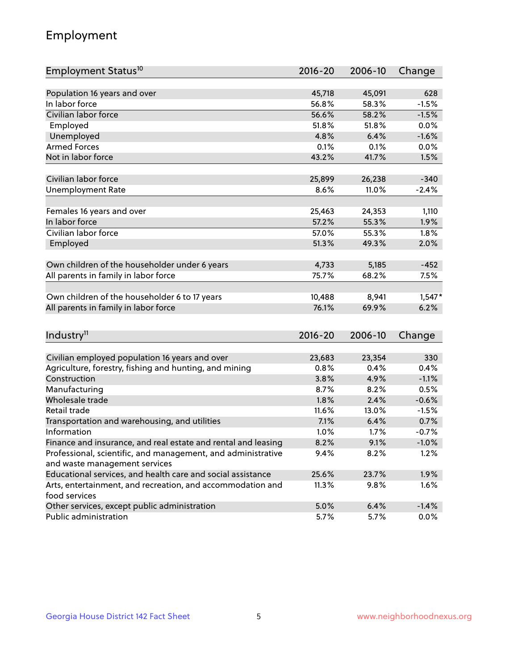## Employment

| Employment Status <sup>10</sup>                                             | $2016 - 20$ | 2006-10 | Change   |
|-----------------------------------------------------------------------------|-------------|---------|----------|
|                                                                             |             |         |          |
| Population 16 years and over                                                | 45,718      | 45,091  | 628      |
| In labor force                                                              | 56.8%       | 58.3%   | $-1.5%$  |
| Civilian labor force                                                        | 56.6%       | 58.2%   | $-1.5%$  |
| Employed                                                                    | 51.8%       | 51.8%   | 0.0%     |
| Unemployed                                                                  | 4.8%        | 6.4%    | $-1.6%$  |
| <b>Armed Forces</b>                                                         | 0.1%        | 0.1%    | 0.0%     |
| Not in labor force                                                          | 43.2%       | 41.7%   | 1.5%     |
|                                                                             |             |         |          |
| Civilian labor force                                                        | 25,899      | 26,238  | $-340$   |
| <b>Unemployment Rate</b>                                                    | 8.6%        | 11.0%   | $-2.4%$  |
|                                                                             |             |         |          |
| Females 16 years and over                                                   | 25,463      | 24,353  | 1,110    |
| In labor force                                                              | 57.2%       | 55.3%   | 1.9%     |
| Civilian labor force                                                        | 57.0%       | 55.3%   | 1.8%     |
| Employed                                                                    | 51.3%       | 49.3%   | 2.0%     |
| Own children of the householder under 6 years                               | 4,733       | 5,185   | $-452$   |
| All parents in family in labor force                                        | 75.7%       | 68.2%   | 7.5%     |
|                                                                             |             |         |          |
| Own children of the householder 6 to 17 years                               | 10,488      | 8,941   | $1,547*$ |
| All parents in family in labor force                                        | 76.1%       | 69.9%   | 6.2%     |
|                                                                             |             |         |          |
| Industry <sup>11</sup>                                                      | $2016 - 20$ | 2006-10 | Change   |
|                                                                             |             |         |          |
| Civilian employed population 16 years and over                              | 23,683      | 23,354  | 330      |
| Agriculture, forestry, fishing and hunting, and mining                      | 0.8%        | 0.4%    | 0.4%     |
| Construction                                                                | 3.8%        | 4.9%    | $-1.1%$  |
| Manufacturing                                                               | 8.7%        | 8.2%    | 0.5%     |
| Wholesale trade                                                             | 1.8%        | 2.4%    | $-0.6%$  |
| Retail trade                                                                | 11.6%       | 13.0%   | $-1.5%$  |
| Transportation and warehousing, and utilities                               | 7.1%        | 6.4%    | 0.7%     |
| Information                                                                 | 1.0%        | 1.7%    | $-0.7%$  |
| Finance and insurance, and real estate and rental and leasing               | 8.2%        | 9.1%    | $-1.0%$  |
| Professional, scientific, and management, and administrative                | 9.4%        | 8.2%    | 1.2%     |
| and waste management services                                               |             |         |          |
| Educational services, and health care and social assistance                 | 25.6%       | 23.7%   | 1.9%     |
| Arts, entertainment, and recreation, and accommodation and<br>food services | 11.3%       | 9.8%    | 1.6%     |
| Other services, except public administration                                | 5.0%        | 6.4%    | $-1.4%$  |
| Public administration                                                       | 5.7%        | 5.7%    | $0.0\%$  |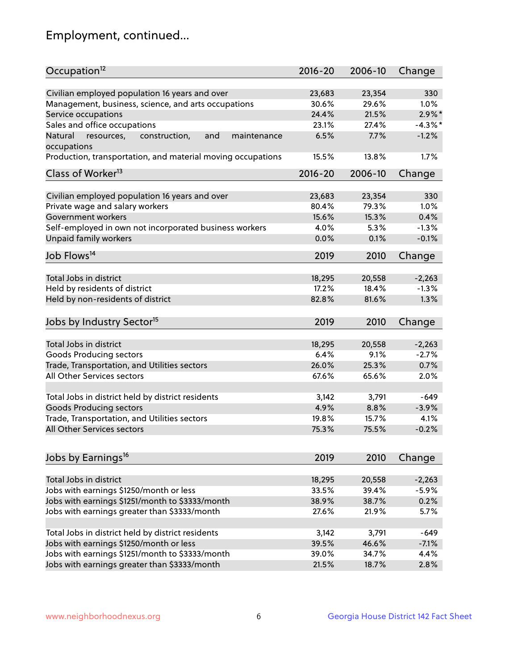## Employment, continued...

| Occupation <sup>12</sup>                                    | $2016 - 20$ | 2006-10 | Change     |
|-------------------------------------------------------------|-------------|---------|------------|
| Civilian employed population 16 years and over              | 23,683      | 23,354  | 330        |
| Management, business, science, and arts occupations         | 30.6%       | 29.6%   | 1.0%       |
| Service occupations                                         | 24.4%       | 21.5%   | $2.9\%$ *  |
| Sales and office occupations                                | 23.1%       | 27.4%   | $-4.3\%$ * |
| Natural<br>and<br>maintenance                               | 6.5%        | 7.7%    | $-1.2%$    |
| resources,<br>construction,<br>occupations                  |             |         |            |
| Production, transportation, and material moving occupations | 15.5%       | 13.8%   | 1.7%       |
| Class of Worker <sup>13</sup>                               | $2016 - 20$ | 2006-10 | Change     |
|                                                             |             |         | 330        |
| Civilian employed population 16 years and over              | 23,683      | 23,354  |            |
| Private wage and salary workers                             | 80.4%       | 79.3%   | 1.0%       |
| Government workers                                          | 15.6%       | 15.3%   | 0.4%       |
| Self-employed in own not incorporated business workers      | 4.0%        | 5.3%    | $-1.3%$    |
| <b>Unpaid family workers</b>                                | 0.0%        | 0.1%    | $-0.1%$    |
| Job Flows <sup>14</sup>                                     | 2019        | 2010    | Change     |
|                                                             |             |         |            |
| Total Jobs in district                                      | 18,295      | 20,558  | $-2,263$   |
| Held by residents of district                               | 17.2%       | 18.4%   | $-1.3%$    |
| Held by non-residents of district                           | 82.8%       | 81.6%   | 1.3%       |
| Jobs by Industry Sector <sup>15</sup>                       | 2019        | 2010    | Change     |
|                                                             |             |         |            |
| Total Jobs in district                                      | 18,295      | 20,558  | $-2,263$   |
| <b>Goods Producing sectors</b>                              | 6.4%        | 9.1%    | $-2.7%$    |
| Trade, Transportation, and Utilities sectors                | 26.0%       | 25.3%   | 0.7%       |
| All Other Services sectors                                  | 67.6%       | 65.6%   | 2.0%       |
| Total Jobs in district held by district residents           | 3,142       | 3,791   | $-649$     |
| <b>Goods Producing sectors</b>                              | 4.9%        | 8.8%    | $-3.9%$    |
| Trade, Transportation, and Utilities sectors                | 19.8%       | 15.7%   | 4.1%       |
| All Other Services sectors                                  | 75.3%       | 75.5%   | $-0.2%$    |
|                                                             |             |         |            |
| Jobs by Earnings <sup>16</sup>                              | 2019        | 2010    | Change     |
|                                                             |             |         |            |
| Total Jobs in district                                      | 18,295      | 20,558  | $-2,263$   |
| Jobs with earnings \$1250/month or less                     | 33.5%       | 39.4%   | $-5.9%$    |
| Jobs with earnings \$1251/month to \$3333/month             | 38.9%       | 38.7%   | 0.2%       |
| Jobs with earnings greater than \$3333/month                | 27.6%       | 21.9%   | 5.7%       |
| Total Jobs in district held by district residents           | 3,142       | 3,791   | $-649$     |
| Jobs with earnings \$1250/month or less                     | 39.5%       | 46.6%   | $-7.1%$    |
| Jobs with earnings \$1251/month to \$3333/month             | 39.0%       | 34.7%   | 4.4%       |
| Jobs with earnings greater than \$3333/month                | 21.5%       | 18.7%   | 2.8%       |
|                                                             |             |         |            |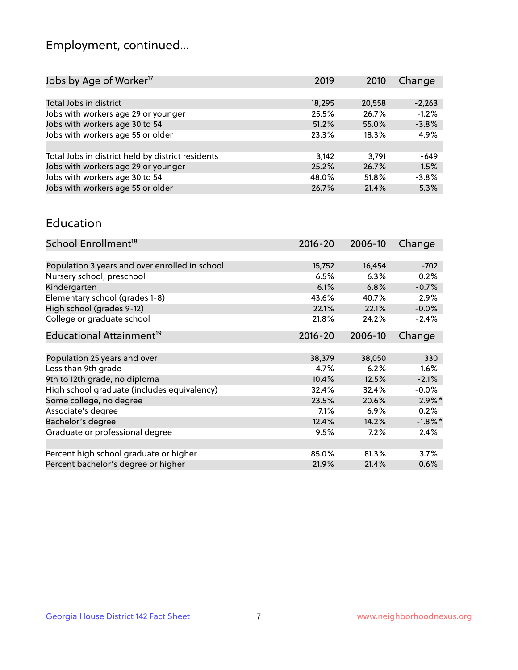## Employment, continued...

| 2019   | 2010   | Change   |
|--------|--------|----------|
|        |        |          |
| 18,295 | 20,558 | $-2,263$ |
| 25.5%  | 26.7%  | $-1.2%$  |
| 51.2%  | 55.0%  | $-3.8%$  |
| 23.3%  | 18.3%  | 4.9%     |
|        |        |          |
| 3,142  | 3,791  | $-649$   |
| 25.2%  | 26.7%  | $-1.5%$  |
| 48.0%  | 51.8%  | $-3.8%$  |
| 26.7%  | 21.4%  | 5.3%     |
|        |        |          |

#### Education

| School Enrollment <sup>18</sup>                | $2016 - 20$ | 2006-10 | Change     |
|------------------------------------------------|-------------|---------|------------|
|                                                |             |         |            |
| Population 3 years and over enrolled in school | 15,752      | 16,454  | $-702$     |
| Nursery school, preschool                      | 6.5%        | 6.3%    | 0.2%       |
| Kindergarten                                   | 6.1%        | 6.8%    | $-0.7%$    |
| Elementary school (grades 1-8)                 | 43.6%       | 40.7%   | 2.9%       |
| High school (grades 9-12)                      | 22.1%       | 22.1%   | $-0.0%$    |
| College or graduate school                     | 21.8%       | 24.2%   | $-2.4%$    |
| Educational Attainment <sup>19</sup>           | $2016 - 20$ | 2006-10 | Change     |
|                                                |             |         |            |
| Population 25 years and over                   | 38,379      | 38,050  | 330        |
| Less than 9th grade                            | 4.7%        | 6.2%    | $-1.6%$    |
| 9th to 12th grade, no diploma                  | 10.4%       | 12.5%   | $-2.1%$    |
| High school graduate (includes equivalency)    | 32.4%       | 32.4%   | $-0.0%$    |
| Some college, no degree                        | 23.5%       | 20.6%   | $2.9\%$ *  |
| Associate's degree                             | $7.1\%$     | 6.9%    | 0.2%       |
| Bachelor's degree                              | 12.4%       | 14.2%   | $-1.8\%$ * |
| Graduate or professional degree                | 9.5%        | 7.2%    | 2.4%       |
|                                                |             |         |            |
| Percent high school graduate or higher         | 85.0%       | 81.3%   | 3.7%       |
| Percent bachelor's degree or higher            | 21.9%       | 21.4%   | 0.6%       |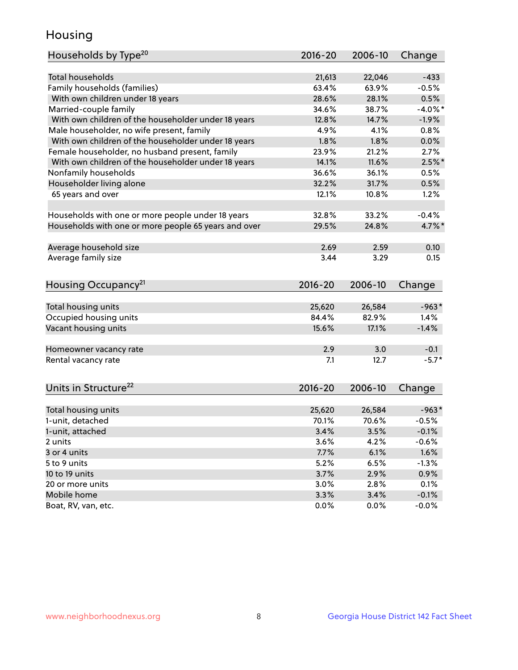## Housing

| Households by Type <sup>20</sup>                     | 2016-20     | 2006-10 | Change     |
|------------------------------------------------------|-------------|---------|------------|
|                                                      |             |         |            |
| <b>Total households</b>                              | 21,613      | 22,046  | $-433$     |
| Family households (families)                         | 63.4%       | 63.9%   | $-0.5%$    |
| With own children under 18 years                     | 28.6%       | 28.1%   | 0.5%       |
| Married-couple family                                | 34.6%       | 38.7%   | $-4.0\%$ * |
| With own children of the householder under 18 years  | 12.8%       | 14.7%   | $-1.9%$    |
| Male householder, no wife present, family            | 4.9%        | 4.1%    | 0.8%       |
| With own children of the householder under 18 years  | 1.8%        | 1.8%    | 0.0%       |
| Female householder, no husband present, family       | 23.9%       | 21.2%   | 2.7%       |
| With own children of the householder under 18 years  | 14.1%       | 11.6%   | $2.5\%$ *  |
| Nonfamily households                                 | 36.6%       | 36.1%   | 0.5%       |
| Householder living alone                             | 32.2%       | 31.7%   | 0.5%       |
| 65 years and over                                    | 12.1%       | 10.8%   | 1.2%       |
|                                                      |             |         |            |
| Households with one or more people under 18 years    | 32.8%       | 33.2%   | $-0.4%$    |
| Households with one or more people 65 years and over | 29.5%       | 24.8%   | 4.7%*      |
|                                                      |             |         |            |
| Average household size                               | 2.69        | 2.59    | 0.10       |
| Average family size                                  | 3.44        | 3.29    | 0.15       |
|                                                      |             |         |            |
| Housing Occupancy <sup>21</sup>                      | $2016 - 20$ | 2006-10 | Change     |
| Total housing units                                  | 25,620      | 26,584  | $-963*$    |
| Occupied housing units                               | 84.4%       | 82.9%   | 1.4%       |
| Vacant housing units                                 | 15.6%       | 17.1%   | $-1.4%$    |
|                                                      |             |         |            |
| Homeowner vacancy rate                               | 2.9         | 3.0     | $-0.1$     |
| Rental vacancy rate                                  | 7.1         | 12.7    | $-5.7*$    |
|                                                      |             |         |            |
| Units in Structure <sup>22</sup>                     | $2016 - 20$ | 2006-10 | Change     |
|                                                      |             |         |            |
| Total housing units                                  | 25,620      | 26,584  | $-963*$    |
| 1-unit, detached                                     | 70.1%       | 70.6%   | $-0.5%$    |
| 1-unit, attached                                     | 3.4%        | 3.5%    | $-0.1%$    |
| 2 units                                              | 3.6%        | 4.2%    | $-0.6%$    |
| 3 or 4 units                                         | 7.7%        | 6.1%    | 1.6%       |
| 5 to 9 units                                         | 5.2%        | 6.5%    | $-1.3%$    |
| 10 to 19 units                                       | 3.7%        | 2.9%    | 0.9%       |
| 20 or more units                                     | 3.0%        | 2.8%    | 0.1%       |
| Mobile home                                          | 3.3%        | 3.4%    | $-0.1%$    |
| Boat, RV, van, etc.                                  | 0.0%        | $0.0\%$ | $-0.0%$    |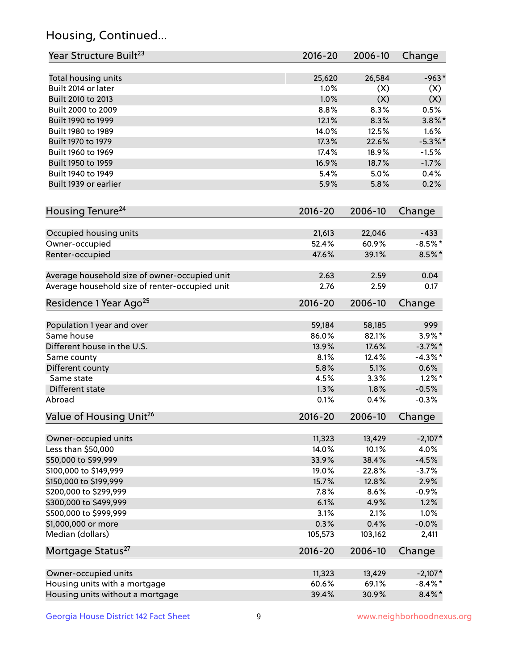## Housing, Continued...

| Year Structure Built <sup>23</sup>             | 2016-20     | 2006-10 | Change     |
|------------------------------------------------|-------------|---------|------------|
| Total housing units                            | 25,620      | 26,584  | $-963*$    |
| Built 2014 or later                            | 1.0%        | (X)     | (X)        |
| Built 2010 to 2013                             | 1.0%        | (X)     | (X)        |
| Built 2000 to 2009                             | 8.8%        | 8.3%    | 0.5%       |
| Built 1990 to 1999                             | 12.1%       | 8.3%    | $3.8\%$ *  |
| Built 1980 to 1989                             | 14.0%       | 12.5%   | 1.6%       |
| Built 1970 to 1979                             | 17.3%       | 22.6%   | $-5.3\%$ * |
| Built 1960 to 1969                             | 17.4%       | 18.9%   | $-1.5%$    |
| Built 1950 to 1959                             | 16.9%       | 18.7%   | $-1.7%$    |
| Built 1940 to 1949                             | 5.4%        | 5.0%    | 0.4%       |
| Built 1939 or earlier                          | 5.9%        | 5.8%    | 0.2%       |
| Housing Tenure <sup>24</sup>                   | $2016 - 20$ | 2006-10 | Change     |
|                                                |             |         |            |
| Occupied housing units                         | 21,613      | 22,046  | $-433$     |
| Owner-occupied                                 | 52.4%       | 60.9%   | $-8.5%$ *  |
| Renter-occupied                                | 47.6%       | 39.1%   | $8.5\%$ *  |
| Average household size of owner-occupied unit  | 2.63        | 2.59    | 0.04       |
| Average household size of renter-occupied unit | 2.76        | 2.59    | 0.17       |
| Residence 1 Year Ago <sup>25</sup>             | $2016 - 20$ | 2006-10 | Change     |
| Population 1 year and over                     | 59,184      | 58,185  | 999        |
| Same house                                     | 86.0%       | 82.1%   | $3.9\%$ *  |
| Different house in the U.S.                    | 13.9%       | 17.6%   | $-3.7\%$ * |
| Same county                                    | 8.1%        | 12.4%   | $-4.3\%$ * |
| Different county                               | 5.8%        | 5.1%    | 0.6%       |
| Same state                                     | 4.5%        | 3.3%    | $1.2\%$ *  |
| Different state                                | 1.3%        | 1.8%    | $-0.5%$    |
| Abroad                                         | 0.1%        | 0.4%    | $-0.3%$    |
| Value of Housing Unit <sup>26</sup>            | 2016-20     | 2006-10 | Change     |
| Owner-occupied units                           | 11,323      | 13,429  | $-2,107*$  |
| Less than \$50,000                             | 14.0%       | 10.1%   | 4.0%       |
| \$50,000 to \$99,999                           | 33.9%       | 38.4%   | $-4.5%$    |
| \$100,000 to \$149,999                         | 19.0%       | 22.8%   | $-3.7%$    |
| \$150,000 to \$199,999                         | 15.7%       | 12.8%   | 2.9%       |
| \$200,000 to \$299,999                         | 7.8%        | 8.6%    | $-0.9%$    |
| \$300,000 to \$499,999                         | 6.1%        | 4.9%    | 1.2%       |
| \$500,000 to \$999,999                         | 3.1%        | 2.1%    | 1.0%       |
| \$1,000,000 or more                            | 0.3%        | 0.4%    | $-0.0%$    |
| Median (dollars)                               | 105,573     | 103,162 | 2,411      |
| Mortgage Status <sup>27</sup>                  | $2016 - 20$ | 2006-10 | Change     |
|                                                |             |         |            |
| Owner-occupied units                           | 11,323      | 13,429  | $-2,107*$  |
| Housing units with a mortgage                  | 60.6%       | 69.1%   | $-8.4\%$ * |
| Housing units without a mortgage               | 39.4%       | 30.9%   | $8.4\% *$  |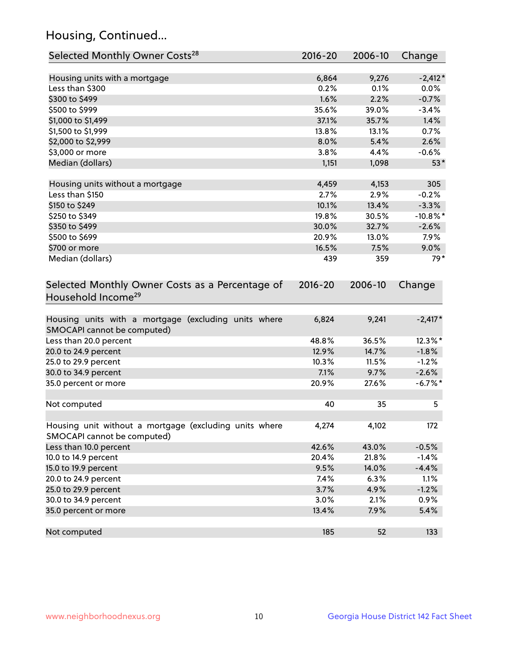## Housing, Continued...

| Selected Monthly Owner Costs <sup>28</sup>                                            | 2016-20     | 2006-10 | Change      |
|---------------------------------------------------------------------------------------|-------------|---------|-------------|
| Housing units with a mortgage                                                         | 6,864       | 9,276   | $-2,412*$   |
| Less than \$300                                                                       | 0.2%        | 0.1%    | 0.0%        |
| \$300 to \$499                                                                        | 1.6%        | 2.2%    | $-0.7%$     |
| \$500 to \$999                                                                        | 35.6%       | 39.0%   | $-3.4%$     |
| \$1,000 to \$1,499                                                                    | 37.1%       | 35.7%   | 1.4%        |
| \$1,500 to \$1,999                                                                    | 13.8%       | 13.1%   | 0.7%        |
| \$2,000 to \$2,999                                                                    | 8.0%        | 5.4%    | 2.6%        |
| \$3,000 or more                                                                       | 3.8%        | 4.4%    | $-0.6%$     |
| Median (dollars)                                                                      | 1,151       | 1,098   | $53*$       |
| Housing units without a mortgage                                                      | 4,459       | 4,153   | 305         |
| Less than \$150                                                                       | 2.7%        | 2.9%    | $-0.2%$     |
| \$150 to \$249                                                                        | 10.1%       | 13.4%   | $-3.3%$     |
| \$250 to \$349                                                                        | 19.8%       | 30.5%   | $-10.8\%$ * |
| \$350 to \$499                                                                        | 30.0%       | 32.7%   | $-2.6%$     |
| \$500 to \$699                                                                        | 20.9%       | 13.0%   | 7.9%        |
| \$700 or more                                                                         | 16.5%       | 7.5%    | 9.0%        |
| Median (dollars)                                                                      | 439         | 359     | $79*$       |
| Selected Monthly Owner Costs as a Percentage of<br>Household Income <sup>29</sup>     | $2016 - 20$ | 2006-10 | Change      |
| Housing units with a mortgage (excluding units where<br>SMOCAPI cannot be computed)   | 6,824       | 9,241   | $-2,417*$   |
| Less than 20.0 percent                                                                | 48.8%       | 36.5%   | 12.3%*      |
| 20.0 to 24.9 percent                                                                  | 12.9%       | 14.7%   | $-1.8%$     |
| 25.0 to 29.9 percent                                                                  | 10.3%       | 11.5%   | $-1.2%$     |
| 30.0 to 34.9 percent                                                                  | 7.1%        | 9.7%    | $-2.6%$     |
| 35.0 percent or more                                                                  | 20.9%       | 27.6%   | $-6.7\%$ *  |
| Not computed                                                                          | 40          | 35      | 5           |
| Housing unit without a mortgage (excluding units where<br>SMOCAPI cannot be computed) | 4,274       | 4,102   | 172         |
| Less than 10.0 percent                                                                | 42.6%       | 43.0%   | $-0.5%$     |
| 10.0 to 14.9 percent                                                                  | 20.4%       | 21.8%   | $-1.4%$     |
| 15.0 to 19.9 percent                                                                  | 9.5%        | 14.0%   | $-4.4%$     |
| 20.0 to 24.9 percent                                                                  | 7.4%        | 6.3%    | 1.1%        |
| 25.0 to 29.9 percent                                                                  | 3.7%        | 4.9%    | $-1.2%$     |
| 30.0 to 34.9 percent                                                                  | 3.0%        | 2.1%    | 0.9%        |
| 35.0 percent or more                                                                  | 13.4%       | 7.9%    | 5.4%        |
| Not computed                                                                          | 185         | 52      | 133         |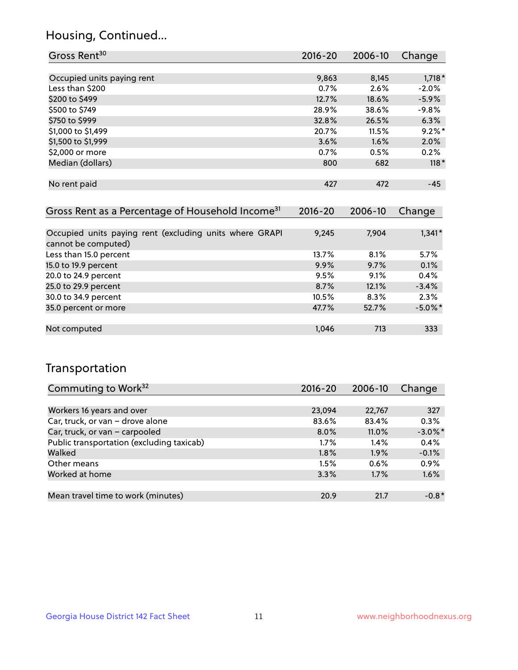## Housing, Continued...

| Gross Rent <sup>30</sup>                                     | 2016-20     | 2006-10     | Change    |
|--------------------------------------------------------------|-------------|-------------|-----------|
|                                                              |             |             |           |
| Occupied units paying rent                                   | 9,863       | 8,145       | $1,718*$  |
| Less than \$200                                              | 0.7%        | 2.6%        | $-2.0%$   |
| \$200 to \$499                                               | 12.7%       | 18.6%       | $-5.9\%$  |
| \$500 to \$749                                               | 28.9%       | 38.6%       | $-9.8%$   |
| \$750 to \$999                                               | 32.8%       | 26.5%       | 6.3%      |
| \$1,000 to \$1,499                                           | 20.7%       | 11.5%       | $9.2\%$ * |
| \$1,500 to \$1,999                                           | 3.6%        | 1.6%        | 2.0%      |
| \$2,000 or more                                              | 0.7%        | 0.5%        | 0.2%      |
| Median (dollars)                                             | 800         | 682         | $118*$    |
|                                                              |             |             |           |
| No rent paid                                                 | 427         | 472         | $-45$     |
|                                                              |             |             |           |
| Gross Rent as a Percentage of Household Income <sup>31</sup> | $2016 - 20$ | $2006 - 10$ | Change    |

| ZUIU-ZU | $2000 - 10$ | <b>CHIGHLY</b> |
|---------|-------------|----------------|
|         |             |                |
| 9,245   | 7,904       | $1,341*$       |
| 13.7%   | 8.1%        | 5.7%           |
| 9.9%    | 9.7%        | 0.1%           |
| 9.5%    | 9.1%        | 0.4%           |
| 8.7%    | 12.1%       | $-3.4%$        |
| 10.5%   | 8.3%        | 2.3%           |
| 47.7%   | 52.7%       | $-5.0\%$ *     |
|         |             |                |
| 1,046   | 713         | 333            |
|         |             |                |

### Transportation

| Commuting to Work <sup>32</sup>           | 2016-20 | 2006-10  | Change     |
|-------------------------------------------|---------|----------|------------|
|                                           |         |          |            |
| Workers 16 years and over                 | 23,094  | 22,767   | 327        |
| Car, truck, or van - drove alone          | 83.6%   | 83.4%    | 0.3%       |
| Car, truck, or van - carpooled            | $8.0\%$ | $11.0\%$ | $-3.0\%$ * |
| Public transportation (excluding taxicab) | $1.7\%$ | $1.4\%$  | 0.4%       |
| Walked                                    | 1.8%    | 1.9%     | $-0.1%$    |
| Other means                               | 1.5%    | 0.6%     | 0.9%       |
| Worked at home                            | 3.3%    | 1.7%     | 1.6%       |
|                                           |         |          |            |
| Mean travel time to work (minutes)        | 20.9    | 21.7     | $-0.8*$    |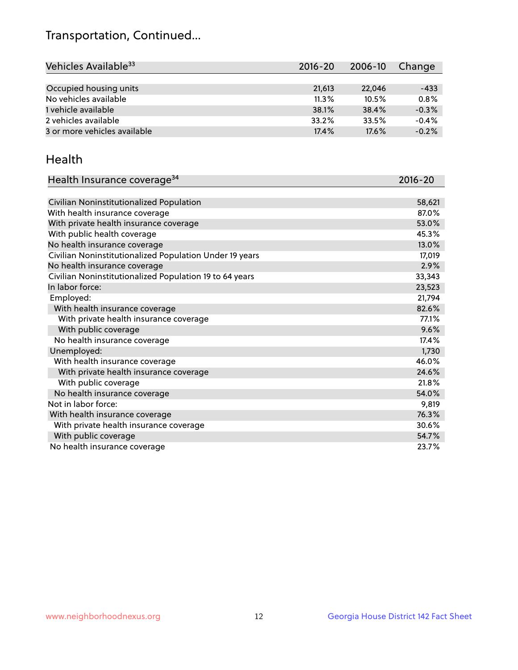## Transportation, Continued...

| Vehicles Available <sup>33</sup> | 2016-20 | 2006-10 | Change  |
|----------------------------------|---------|---------|---------|
|                                  |         |         |         |
| Occupied housing units           | 21,613  | 22,046  | $-433$  |
| No vehicles available            | 11.3%   | 10.5%   | 0.8%    |
| 1 vehicle available              | 38.1%   | 38.4%   | $-0.3%$ |
| 2 vehicles available             | 33.2%   | 33.5%   | $-0.4%$ |
| 3 or more vehicles available     | 17.4%   | 17.6%   | $-0.2%$ |

#### Health

| Health Insurance coverage <sup>34</sup>                 | 2016-20 |
|---------------------------------------------------------|---------|
|                                                         |         |
| Civilian Noninstitutionalized Population                | 58,621  |
| With health insurance coverage                          | 87.0%   |
| With private health insurance coverage                  | 53.0%   |
| With public health coverage                             | 45.3%   |
| No health insurance coverage                            | 13.0%   |
| Civilian Noninstitutionalized Population Under 19 years | 17,019  |
| No health insurance coverage                            | 2.9%    |
| Civilian Noninstitutionalized Population 19 to 64 years | 33,343  |
| In labor force:                                         | 23,523  |
| Employed:                                               | 21,794  |
| With health insurance coverage                          | 82.6%   |
| With private health insurance coverage                  | 77.1%   |
| With public coverage                                    | 9.6%    |
| No health insurance coverage                            | 17.4%   |
| Unemployed:                                             | 1,730   |
| With health insurance coverage                          | 46.0%   |
| With private health insurance coverage                  | 24.6%   |
| With public coverage                                    | 21.8%   |
| No health insurance coverage                            | 54.0%   |
| Not in labor force:                                     | 9,819   |
| With health insurance coverage                          | 76.3%   |
| With private health insurance coverage                  | 30.6%   |
| With public coverage                                    | 54.7%   |
| No health insurance coverage                            | 23.7%   |